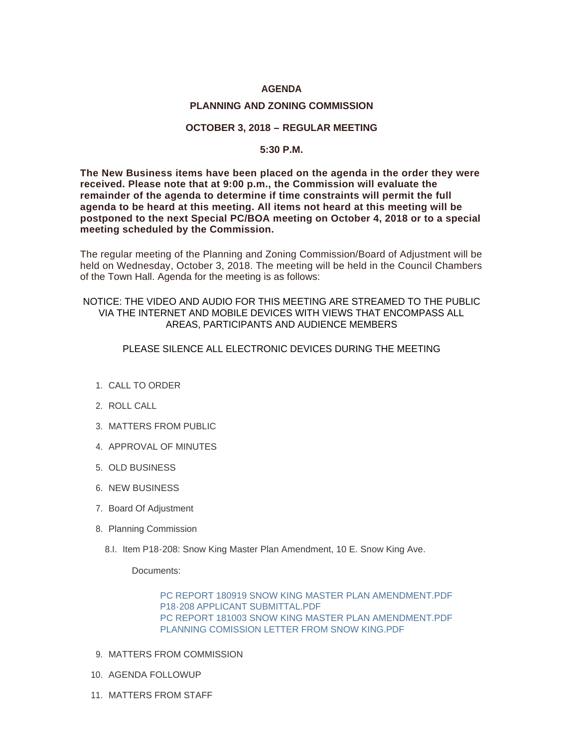# **AGENDA**

### **PLANNING AND ZONING COMMISSION**

### **OCTOBER 3, 2018 – REGULAR MEETING**

#### **5:30 P.M.**

**The New Business items have been placed on the agenda in the order they were received. Please note that at 9:00 p.m., the Commission will evaluate the remainder of the agenda to determine if time constraints will permit the full agenda to be heard at this meeting. All items not heard at this meeting will be postponed to the next Special PC/BOA meeting on October 4, 2018 or to a special meeting scheduled by the Commission.**

The regular meeting of the Planning and Zoning Commission/Board of Adjustment will be held on Wednesday, October 3, 2018. The meeting will be held in the Council Chambers of the Town Hall. Agenda for the meeting is as follows:

# NOTICE: THE VIDEO AND AUDIO FOR THIS MEETING ARE STREAMED TO THE PUBLIC VIA THE INTERNET AND MOBILE DEVICES WITH VIEWS THAT ENCOMPASS ALL AREAS, PARTICIPANTS AND AUDIENCE MEMBERS

### PLEASE SILENCE ALL ELECTRONIC DEVICES DURING THE MEETING

- 1. CALL TO ORDER
- 2. ROLL CALL
- MATTERS FROM PUBLIC 3.
- 4. APPROVAL OF MINUTES
- 5. OLD BUSINESS
- 6. NEW BUSINESS
- 7. Board Of Adjustment
- 8. Planning Commission
	- 8.I. Item P18-208: Snow King Master Plan Amendment, 10 E. Snow King Ave.

Documents:

[PC REPORT 180919 SNOW KING MASTER PLAN AMENDMENT.PDF](http://www.jacksonwy.gov/AgendaCenter/ViewFile/Item/1604?fileID=4265) [P18-208 APPLICANT SUBMITTAL.PDF](http://www.jacksonwy.gov/AgendaCenter/ViewFile/Item/1604?fileID=4266) [PC REPORT 181003 SNOW KING MASTER PLAN AMENDMENT.PDF](http://www.jacksonwy.gov/AgendaCenter/ViewFile/Item/1604?fileID=4269) [PLANNING COMISSION LETTER FROM SNOW KING.PDF](http://www.jacksonwy.gov/AgendaCenter/ViewFile/Item/1604?fileID=4272)

- 9. MATTERS FROM COMMISSION
- 10. AGENDA FOLLOWUP
- 11. MATTERS FROM STAFF